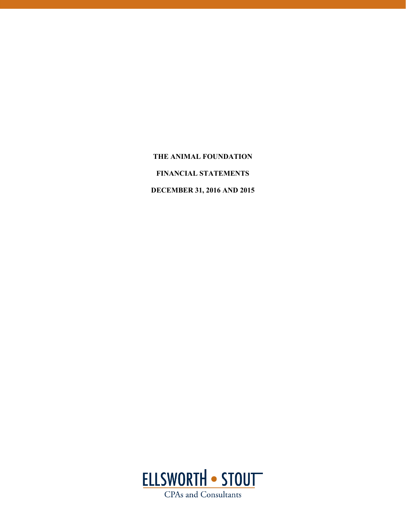**THE ANIMAL FOUNDATION FINANCIAL STATEMENTS DECEMBER 31, 2016 AND 2015** 

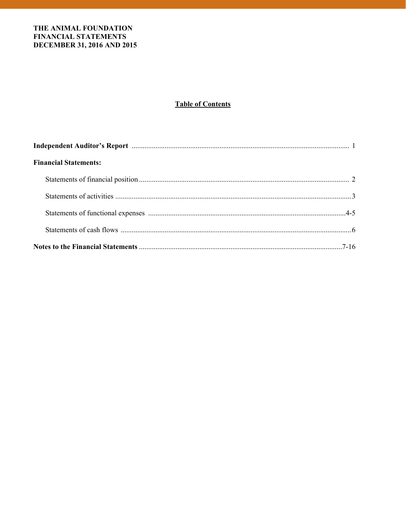# **Table of Contents**

| <b>Financial Statements:</b> |  |
|------------------------------|--|
|                              |  |
|                              |  |
|                              |  |
|                              |  |
|                              |  |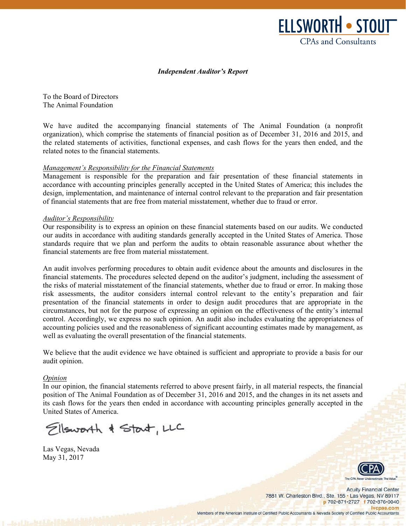

#### *Independent Auditor's Report*

To the Board of Directors The Animal Foundation

We have audited the accompanying financial statements of The Animal Foundation (a nonprofit organization), which comprise the statements of financial position as of December 31, 2016 and 2015, and the related statements of activities, functional expenses, and cash flows for the years then ended, and the related notes to the financial statements.

#### *Management's Responsibility for the Financial Statements*

Management is responsible for the preparation and fair presentation of these financial statements in accordance with accounting principles generally accepted in the United States of America; this includes the design, implementation, and maintenance of internal control relevant to the preparation and fair presentation of financial statements that are free from material misstatement, whether due to fraud or error.

#### *Auditor's Responsibility*

Our responsibility is to express an opinion on these financial statements based on our audits. We conducted our audits in accordance with auditing standards generally accepted in the United States of America. Those standards require that we plan and perform the audits to obtain reasonable assurance about whether the financial statements are free from material misstatement.

An audit involves performing procedures to obtain audit evidence about the amounts and disclosures in the financial statements. The procedures selected depend on the auditor's judgment, including the assessment of the risks of material misstatement of the financial statements, whether due to fraud or error. In making those risk assessments, the auditor considers internal control relevant to the entity's preparation and fair presentation of the financial statements in order to design audit procedures that are appropriate in the circumstances, but not for the purpose of expressing an opinion on the effectiveness of the entity's internal control. Accordingly, we express no such opinion. An audit also includes evaluating the appropriateness of accounting policies used and the reasonableness of significant accounting estimates made by management, as well as evaluating the overall presentation of the financial statements.

We believe that the audit evidence we have obtained is sufficient and appropriate to provide a basis for our audit opinion.

#### *Opinion*

In our opinion, the financial statements referred to above present fairly, in all material respects, the financial position of The Animal Foundation as of December 31, 2016 and 2015, and the changes in its net assets and its cash flows for the years then ended in accordance with accounting principles generally accepted in the United States of America.

Ellsworth & Start, LLC

Las Vegas, Nevada May 31, 2017

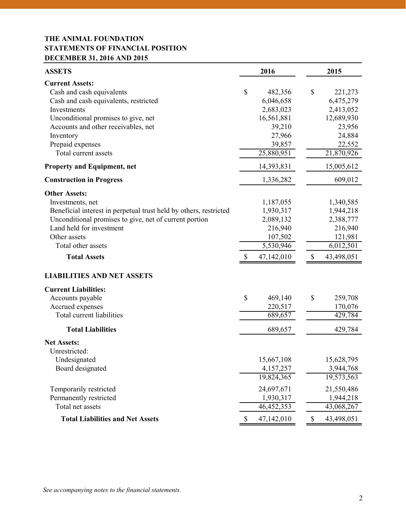# **THE ANIMAL FOUNDATION STATEMENTS OF FINANCIAL POSITION DECEMBER 31, 2016 AND 2015**

| <b>ASSETS</b>                                                                                                                                                                                                                                                                                                                        | 2016                                                                                              |                           | 2015                                                                                        |  |
|--------------------------------------------------------------------------------------------------------------------------------------------------------------------------------------------------------------------------------------------------------------------------------------------------------------------------------------|---------------------------------------------------------------------------------------------------|---------------------------|---------------------------------------------------------------------------------------------|--|
| <b>Current Assets:</b><br>Cash and cash equivalents<br>Cash and cash equivalents, restricted<br>Investments<br>Unconditional promises to give, net<br>Accounts and other receivables, net<br>Inventory<br>Prepaid expenses<br>Total current assets                                                                                   | \$<br>482,356<br>6,046,658<br>2,683,023<br>16,561,881<br>39,210<br>27,966<br>39,857<br>25,880,951 | \$                        | 221,273<br>6,475,279<br>2,413,052<br>12,689,930<br>23,956<br>24,884<br>22,552<br>21,870,926 |  |
| <b>Property and Equipment, net</b>                                                                                                                                                                                                                                                                                                   | 14,393,831                                                                                        |                           | 15,005,612                                                                                  |  |
| <b>Construction in Progress</b>                                                                                                                                                                                                                                                                                                      | 1,336,282                                                                                         |                           | 609,012                                                                                     |  |
| <b>Other Assets:</b><br>Investments, net<br>Beneficial interest in perpetual trust held by others, restricted<br>Unconditional promises to give, net of current portion<br>Land held for investment<br>Other assets<br>Total other assets<br><b>Total Assets</b><br><b>LIABILITIES AND NET ASSETS</b><br><b>Current Liabilities:</b> | \$<br>1,187,055<br>1,930,317<br>2,089,132<br>216,940<br>107,502<br>5,530,946<br>47,142,010        | $\mathcal{S}$             | 1,340,585<br>1,944,218<br>2,388,777<br>216,940<br>121,981<br>6,012,501<br>43,498,051        |  |
| Accounts payable                                                                                                                                                                                                                                                                                                                     | \$<br>469,140                                                                                     | \$                        | 259,708                                                                                     |  |
| Accrued expenses<br>Total current liabilities                                                                                                                                                                                                                                                                                        | 220,517<br>689,657                                                                                |                           | 170,076<br>429,784                                                                          |  |
| <b>Total Liabilities</b>                                                                                                                                                                                                                                                                                                             | 689,657                                                                                           |                           | 429,784                                                                                     |  |
| <b>Net Assets:</b><br>Unrestricted:<br>Undesignated<br>Board designated                                                                                                                                                                                                                                                              | 15,667,108<br>4,157,257<br>19,824,365                                                             |                           | 15,628,795<br>3,944,768<br>19,573,563                                                       |  |
| Temporarily restricted<br>Permanently restricted<br>Total net assets                                                                                                                                                                                                                                                                 | 24,697,671<br>1,930,317<br>46, 452, 353                                                           |                           | 21,550,486<br>1,944,218<br>43,068,267                                                       |  |
| <b>Total Liabilities and Net Assets</b>                                                                                                                                                                                                                                                                                              | \$<br>47,142,010                                                                                  | $\boldsymbol{\mathsf{S}}$ | 43,498,051                                                                                  |  |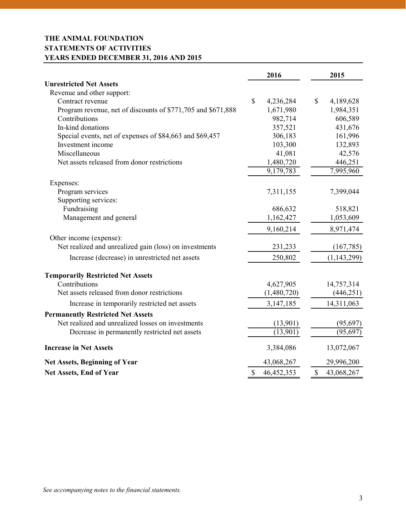# **THE ANIMAL FOUNDATION STATEMENTS OF ACTIVITIES YEARS ENDED DECEMBER 31, 2016 AND 2015**

|                                                              | 2016               | 2015 |               |  |
|--------------------------------------------------------------|--------------------|------|---------------|--|
| <b>Unrestricted Net Assets</b>                               |                    |      |               |  |
| Revenue and other support:                                   |                    |      |               |  |
| Contract revenue                                             | \$<br>4,236,284    | \$   | 4,189,628     |  |
| Program revenue, net of discounts of \$771,705 and \$671,888 | 1,671,980          |      | 1,984,351     |  |
| Contributions                                                | 982,714            |      | 606,589       |  |
| In-kind donations                                            | 357,521            |      | 431,676       |  |
| Special events, net of expenses of \$84,663 and \$69,457     | 306,183            |      | 161,996       |  |
| Investment income                                            | 103,300            |      | 132,893       |  |
| Miscellaneous                                                | 41,081             |      | 42,576        |  |
| Net assets released from donor restrictions                  | 1,480,720          |      | 446,251       |  |
|                                                              | 9,179,783          |      | 7,995,960     |  |
| Expenses:                                                    |                    |      |               |  |
| Program services                                             | 7,311,155          |      | 7,399,044     |  |
| Supporting services:                                         |                    |      |               |  |
| Fundraising                                                  | 686,632            |      | 518,821       |  |
| Management and general                                       | 1,162,427          |      | 1,053,609     |  |
|                                                              | 9,160,214          |      | 8,971,474     |  |
| Other income (expense):                                      |                    |      |               |  |
| Net realized and unrealized gain (loss) on investments       | 231,233            |      | (167, 785)    |  |
| Increase (decrease) in unrestricted net assets               | 250,802            |      | (1, 143, 299) |  |
| <b>Temporarily Restricted Net Assets</b>                     |                    |      |               |  |
| Contributions                                                | 4,627,905          |      | 14,757,314    |  |
| Net assets released from donor restrictions                  | (1,480,720)        |      | (446, 251)    |  |
| Increase in temporarily restricted net assets                | 3,147,185          |      | 14,311,063    |  |
| <b>Permanently Restricted Net Assets</b>                     |                    |      |               |  |
| Net realized and unrealized losses on investments            | (13,901)           |      | (95, 697)     |  |
| Decrease in permanently restricted net assets                | (13,901)           |      | (95, 697)     |  |
| <b>Increase in Net Assets</b>                                | 3,384,086          |      | 13,072,067    |  |
| <b>Net Assets, Beginning of Year</b>                         | 43,068,267         |      | 29,996,200    |  |
| <b>Net Assets, End of Year</b>                               | \$<br>46, 452, 353 | \$   | 43,068,267    |  |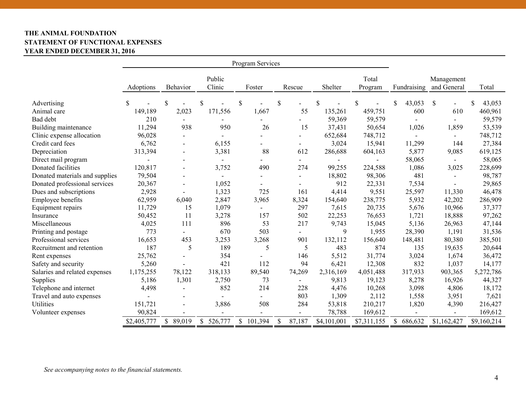# **THE ANIMAL FOUNDATION STATEMENT OF FUNCTIONAL EXPENSES YEAR ENDED DECEMBER 31, 2016**

| Program Services               |             |                          |                  |                          |                          |             |                  |                          |                           |             |
|--------------------------------|-------------|--------------------------|------------------|--------------------------|--------------------------|-------------|------------------|--------------------------|---------------------------|-------------|
|                                | Adoptions   | Behavior                 | Public<br>Clinic | Foster                   | Rescue                   | Shelter     | Total<br>Program | Fundraising              | Management<br>and General | Total       |
| Advertising                    | \$          | \$                       | S                | \$                       | \$                       | \$          | \$               | \$<br>43,053             | \$                        | 43,053<br>S |
| Animal care                    | 149,189     | 2,023                    | 171,556          | 1,667                    | 55                       | 135,261     | 459,751          | 600                      | 610                       | 460,961     |
| Bad debt                       | 210         |                          |                  |                          | $\blacksquare$           | 59,369      | 59,579           |                          |                           | 59,579      |
| Building maintenance           | 11,294      | 938                      | 950              | 26                       | 15                       | 37,431      | 50,654           | 1,026                    | 1,859                     | 53,539      |
| Clinic expense allocation      | 96,028      |                          |                  |                          | $\overline{\phantom{a}}$ | 652,684     | 748,712          | $\overline{\phantom{0}}$ | $\overline{\phantom{0}}$  | 748,712     |
| Credit card fees               | 6,762       | $\blacksquare$           | 6,155            |                          | $\overline{\phantom{a}}$ | 3,024       | 15,941           | 11,299                   | 144                       | 27,384      |
| Depreciation                   | 313,394     | $\overline{\phantom{a}}$ | 3,381            | 88                       | 612                      | 286,688     | 604,163          | 5,877                    | 9,085                     | 619,125     |
| Direct mail program            |             |                          |                  |                          | $\overline{\phantom{a}}$ |             |                  | 58,065                   |                           | 58,065      |
| Donated facilities             | 120,817     | $\blacksquare$           | 3,752            | 490                      | 274                      | 99,255      | 224,588          | 1,086                    | 3,025                     | 228,699     |
| Donated materials and supplies | 79,504      |                          | $\blacksquare$   |                          | $\blacksquare$           | 18,802      | 98,306           | 481                      |                           | 98,787      |
| Donated professional services  | 20,367      |                          | 1,052            |                          |                          | 912         | 22,331           | 7,534                    |                           | 29,865      |
| Dues and subscriptions         | 2,928       |                          | 1,323            | 725                      | 161                      | 4,414       | 9,551            | 25,597                   | 11,330                    | 46,478      |
| Employee benefits              | 62,959      | 6,040                    | 2,847            | 3,965                    | 8,324                    | 154,640     | 238,775          | 5,932                    | 42,202                    | 286,909     |
| Equipment repairs              | 11,729      | 15                       | 1,079            |                          | 297                      | 7,615       | 20,735           | 5,676                    | 10,966                    | 37,377      |
| Insurance                      | 50,452      | 11                       | 3,278            | 157                      | 502                      | 22,253      | 76,653           | 1,721                    | 18,888                    | 97,262      |
| Miscellaneous                  | 4,025       | 111                      | 896              | 53                       | 217                      | 9,743       | 15,045           | 5,136                    | 26,963                    | 47,144      |
| Printing and postage           | 773         |                          | 670              | 503                      | $\overline{\phantom{a}}$ | 9           | 1,955            | 28,390                   | 1,191                     | 31,536      |
| Professional services          | 16,653      | 453                      | 3,253            | 3,268                    | 901                      | 132,112     | 156,640          | 148,481                  | 80,380                    | 385,501     |
| Recruitment and retention      | 187         | 5                        | 189              | 5                        | 5                        | 483         | 874              | 135                      | 19,635                    | 20,644      |
| Rent expenses                  | 25,762      |                          | 354              |                          | 146                      | 5,512       | 31,774           | 3,024                    | 1,674                     | 36,472      |
| Safety and security            | 5,260       |                          | 421              | 112                      | 94                       | 6,421       | 12,308           | 832                      | 1,037                     | 14,177      |
| Salaries and related expenses  | 1,175,255   | 78,122                   | 318,133          | 89,540                   | 74,269                   | 2,316,169   | 4,051,488        | 317,933                  | 903,365                   | 5,272,786   |
| Supplies                       | 5,186       | 1,301                    | 2,750            | 73                       | $\blacksquare$           | 9,813       | 19,123           | 8,278                    | 16,926                    | 44,327      |
| Telephone and internet         | 4,498       |                          | 852              | 214                      | 228                      | 4,476       | 10,268           | 3,098                    | 4,806                     | 18,172      |
| Travel and auto expenses       |             |                          |                  |                          | 803                      | 1,309       | 2,112            | 1,558                    | 3,951                     | 7,621       |
| <b>Utilities</b>               | 151,721     |                          | 3,886            | 508                      | 284                      | 53,818      | 210,217          | 1,820                    | 4,390                     | 216,427     |
| Volunteer expenses             | 90,824      |                          |                  | $\overline{\phantom{0}}$ | $\blacksquare$           | 78,788      | 169,612          |                          |                           | 169,612     |
|                                | \$2,405,777 | $\mathbb{S}$<br>89,019   | \$526,777        | \$101,394                | $\mathbb{S}$<br>87,187   | \$4,101,001 | \$7,311,155      | \$<br>686,632            | \$1,162,427               | \$9,160,214 |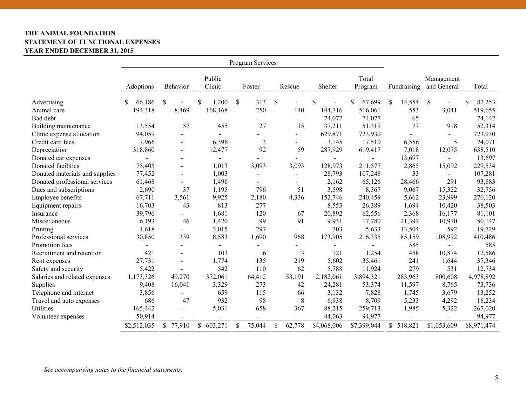# **THE ANIMAL FOUNDATION STATEMENT OF FUNCTIONAL EXPENSES YEAR ENDED DECEMBER 31, 2015**

| Program Services               |              |                          |             |              |                                 |             |              |                        |                           |              |
|--------------------------------|--------------|--------------------------|-------------|--------------|---------------------------------|-------------|--------------|------------------------|---------------------------|--------------|
|                                |              |                          | Public      |              |                                 |             | Total        |                        | Management                |              |
|                                | Adoptions    | Behavior                 | Clinic      | Foster       | Rescue                          | Shelter     | Program      | Fundraising            | and General               | Total        |
| Advertising                    | 66,186<br>\$ | \$                       | 1,200<br>\$ | \$<br>313    | $\mathcal{S}$<br>$\overline{a}$ | \$          | \$<br>67,699 | $\mathbb{S}$<br>14,554 | $\boldsymbol{\mathsf{S}}$ | \$<br>82,253 |
| Animal care                    | 194,318      | 8,469                    | 168,168     | 250          | 140                             | 144,716     | 516,061      | 553                    | 3,041                     | 519,655      |
| Bad debt                       |              | $\blacksquare$           |             |              | $\blacksquare$                  | 74,077      | 74,077       | 65                     | $\overline{a}$            | 74,142       |
| Building maintenance           | 13,554       | 57                       | 455         | 27           | 15                              | 37,211      | 51,319       | 77                     | 918                       | 52,314       |
| Clinic expense allocation      | 94,059       |                          |             |              |                                 | 629,871     | 723,930      |                        |                           | 723,930      |
| Credit card fees               | 7,966        |                          | 6,396       | 3            |                                 | 3,145       | 17,510       | 6,556                  | 5                         | 24,071       |
| Depreciation                   | 318,860      | $\blacksquare$           | 12,477      | 92           | 59                              | 287,929     | 619,417      | 7,018                  | 12,075                    | 638,510      |
| Donated car expenses           |              | $\overline{\phantom{a}}$ |             |              |                                 |             |              | 13,697                 |                           | 13,697       |
| Donated facilities             | 75,405       | $\blacksquare$           | 1,013       | 3,093        | 3,093                           | 128,973     | 211,577      | 2,865                  | 15,092                    | 229,534      |
| Donated materials and supplies | 77,452       | $\blacksquare$           | 1,003       |              | $\blacksquare$                  | 28,793      | 107,248      | 33                     | $\sim$                    | 107,281      |
| Donated professional services  | 61,468       |                          | 1,496       |              | $\overline{\phantom{0}}$        | 2,162       | 65,126       | 28,466                 | 291                       | 93,883       |
| Dues and subscriptions         | 2,690        | 37                       | 1,195       | 796          | 51                              | 3,598       | 8,367        | 9,067                  | 15,322                    | 32,756       |
| Employee benefits              | 67,711       | 3,561                    | 9,925       | 2,180        | 4,336                           | 152,746     | 240,459      | 5,662                  | 23,999                    | 270,120      |
| Equipment repairs              | 16,703       | 43                       | 813         | 277          | $\blacksquare$                  | 8,553       | 26,389       | 1,694                  | 10,420                    | 38,503       |
| Insurance                      | 39,796       |                          | 1,681       | 120          | 67                              | 20,892      | 62,556       | 2,368                  | 16,177                    | 81,101       |
| Miscellaneous                  | 6,193        | 46                       | 1,420       | 99           | 91                              | 9,931       | 17,780       | 21,397                 | 10,970                    | 50,147       |
| Printing                       | 1,618        |                          | 3,015       | 297          |                                 | 703         | 5,633        | 13,504                 | 592                       | 19,729       |
| Professional services          | 30,850       | 339                      | 8,583       | 1,690        | 968                             | 173,905     | 216,335      | 85,159                 | 108,992                   | 410,486      |
| Promotion fees                 |              |                          |             |              |                                 |             |              | 585                    |                           | 585          |
| Recruitment and retention      | 421          |                          | 103         | 6            | 3                               | 721         | 1,254        | 458                    | 10,874                    | 12,586       |
| Rent expenses                  | 27,731       | $\overline{a}$           | 1,774       | 135          | 219                             | 5,602       | 35,461       | 241                    | 1,644                     | 37,346       |
| Safety and security            | 5,422        |                          | 542         | 110          | 62                              | 5,788       | 11,924       | 279                    | 531                       | 12,734       |
| Salaries and related expenses  | 1,173,326    | 49,270                   | 372,061     | 64,412       | 53,191                          | 2,182,061   | 3,894,321    | 283,963                | 800,608                   | 4,978,892    |
| Supplies                       | 9,408        | 16,041                   | 3,329       | 273          | 42                              | 24,281      | 53,374       | 11,597                 | 8,765                     | 73,736       |
| Telephone and internet         | 3,856        |                          | 659         | 115          | 66                              | 3,132       | 7,828        | 1,745                  | 3,679                     | 13,252       |
| Travel and auto expenses       | 686          | 47                       | 932         | 98           | 8                               | 6,938       | 8,709        | 5,233                  | 4,292                     | 18,234       |
| Utilities                      | 165,442      | $\overline{a}$           | 5,031       | 658          | 367                             | 88,215      | 259,713      | 1,985                  | 5,322                     | 267,020      |
| Volunteer expenses             | 50,914       |                          |             |              | $\overline{a}$                  | 44,063      | 94,977       |                        |                           | 94,977       |
|                                | \$2,512,035  | $\mathbb{S}$<br>77,910   | \$603,271   | \$<br>75,044 | \$<br>62,778                    | \$4,068,006 | \$7,399,044  | \$518,821              | \$1,053,609               | \$8,971,474  |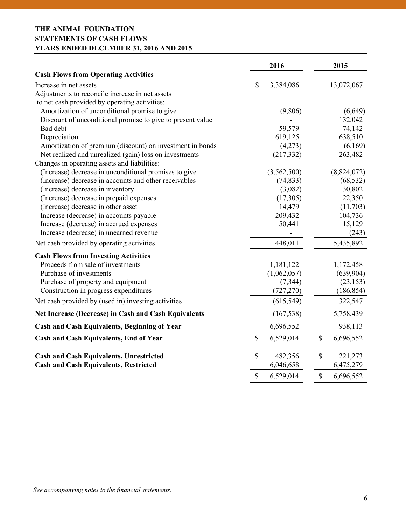# **THE ANIMAL FOUNDATION STATEMENTS OF CASH FLOWS YEARS ENDED DECEMBER 31, 2016 AND 2015**

|                                                             | 2016                                   | 2015                                   |
|-------------------------------------------------------------|----------------------------------------|----------------------------------------|
| <b>Cash Flows from Operating Activities</b>                 |                                        |                                        |
| Increase in net assets                                      | \$<br>3,384,086                        | 13,072,067                             |
| Adjustments to reconcile increase in net assets             |                                        |                                        |
| to net cash provided by operating activities:               |                                        |                                        |
| Amortization of unconditional promise to give               | (9,806)                                | (6,649)                                |
| Discount of unconditional promise to give to present value  |                                        | 132,042                                |
| Bad debt                                                    | 59,579                                 | 74,142                                 |
| Depreciation                                                | 619,125                                | 638,510                                |
| Amortization of premium (discount) on investment in bonds   | (4,273)                                | (6,169)                                |
| Net realized and unrealized (gain) loss on investments      | (217, 332)                             | 263,482                                |
| Changes in operating assets and liabilities:                |                                        |                                        |
| (Increase) decrease in unconditional promises to give       | (3,562,500)                            | (8,824,072)                            |
| (Increase) decrease in accounts and other receivables       | (74, 833)                              | (68, 532)                              |
| (Increase) decrease in inventory                            | (3,082)                                | 30,802                                 |
| (Increase) decrease in prepaid expenses                     | (17,305)                               | 22,350                                 |
| (Increase) decrease in other asset                          | 14,479                                 | (11,703)                               |
| Increase (decrease) in accounts payable                     | 209,432                                | 104,736                                |
| Increase (decrease) in accrued expenses                     | 50,441                                 | 15,129                                 |
| Increase (decrease) in unearned revenue                     |                                        | (243)                                  |
| Net cash provided by operating activities                   | 448,011                                | 5,435,892                              |
| <b>Cash Flows from Investing Activities</b>                 |                                        |                                        |
| Proceeds from sale of investments                           | 1,181,122                              | 1,172,458                              |
| Purchase of investments                                     | (1,062,057)                            | (639,904)                              |
| Purchase of property and equipment                          | (7, 344)                               | (23, 153)                              |
| Construction in progress expenditures                       | (727, 270)                             | (186, 854)                             |
| Net cash provided by (used in) investing activities         | (615, 549)                             | 322,547                                |
| <b>Net Increase (Decrease) in Cash and Cash Equivalents</b> | (167, 538)                             | 5,758,439                              |
| <b>Cash and Cash Equivalents, Beginning of Year</b>         | 6,696,552                              | 938,113                                |
| <b>Cash and Cash Equivalents, End of Year</b>               | \$<br>6,529,014                        | $\boldsymbol{\mathsf{S}}$<br>6,696,552 |
| <b>Cash and Cash Equivalents, Unrestricted</b>              | \$<br>482,356                          | \$<br>221,273                          |
| <b>Cash and Cash Equivalents, Restricted</b>                | 6,046,658                              | 6,475,279                              |
|                                                             | $\boldsymbol{\mathsf{S}}$<br>6,529,014 | $\boldsymbol{\mathsf{S}}$<br>6,696,552 |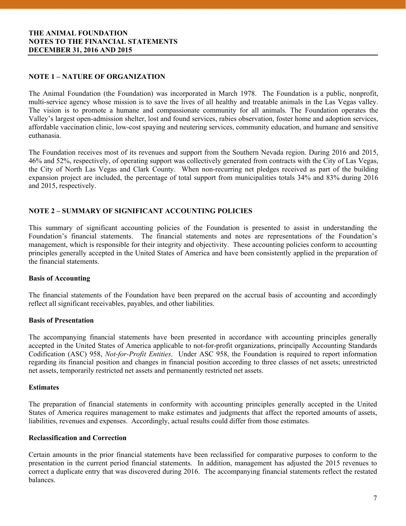# **NOTE 1 – NATURE OF ORGANIZATION**

The Animal Foundation (the Foundation) was incorporated in March 1978. The Foundation is a public, nonprofit, multi-service agency whose mission is to save the lives of all healthy and treatable animals in the Las Vegas valley. The vision is to promote a humane and compassionate community for all animals. The Foundation operates the Valley's largest open-admission shelter, lost and found services, rabies observation, foster home and adoption services, affordable vaccination clinic, low-cost spaying and neutering services, community education, and humane and sensitive euthanasia.

The Foundation receives most of its revenues and support from the Southern Nevada region. During 2016 and 2015, 46% and 52%, respectively, of operating support was collectively generated from contracts with the City of Las Vegas, the City of North Las Vegas and Clark County. When non-recurring net pledges received as part of the building expansion project are included, the percentage of total support from municipalities totals 34% and 83% during 2016 and 2015, respectively.

#### **NOTE 2 – SUMMARY OF SIGNIFICANT ACCOUNTING POLICIES**

This summary of significant accounting policies of the Foundation is presented to assist in understanding the Foundation's financial statements. The financial statements and notes are representations of the Foundation's management, which is responsible for their integrity and objectivity. These accounting policies conform to accounting principles generally accepted in the United States of America and have been consistently applied in the preparation of the financial statements.

#### **Basis of Accounting**

The financial statements of the Foundation have been prepared on the accrual basis of accounting and accordingly reflect all significant receivables, payables, and other liabilities.

#### **Basis of Presentation**

The accompanying financial statements have been presented in accordance with accounting principles generally accepted in the United States of America applicable to not-for-profit organizations, principally Accounting Standards Codification (ASC) 958, *Not-for-Profit Entities*. Under ASC 958, the Foundation is required to report information regarding its financial position and changes in financial position according to three classes of net assets; unrestricted net assets, temporarily restricted net assets and permanently restricted net assets.

#### **Estimates**

 The preparation of financial statements in conformity with accounting principles generally accepted in the United States of America requires management to make estimates and judgments that affect the reported amounts of assets, liabilities, revenues and expenses. Accordingly, actual results could differ from those estimates.

#### **Reclassification and Correction**

Certain amounts in the prior financial statements have been reclassified for comparative purposes to conform to the presentation in the current period financial statements. In addition, management has adjusted the 2015 revenues to correct a duplicate entry that was discovered during 2016. The accompanying financial statements reflect the restated balances.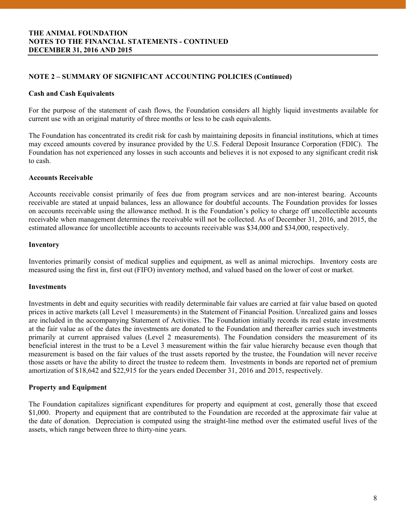# **NOTE 2 – SUMMARY OF SIGNIFICANT ACCOUNTING POLICIES (Continued)**

#### **Cash and Cash Equivalents**

For the purpose of the statement of cash flows, the Foundation considers all highly liquid investments available for current use with an original maturity of three months or less to be cash equivalents.

The Foundation has concentrated its credit risk for cash by maintaining deposits in financial institutions, which at times may exceed amounts covered by insurance provided by the U.S. Federal Deposit Insurance Corporation (FDIC). The Foundation has not experienced any losses in such accounts and believes it is not exposed to any significant credit risk to cash.

#### **Accounts Receivable**

Accounts receivable consist primarily of fees due from program services and are non-interest bearing. Accounts receivable are stated at unpaid balances, less an allowance for doubtful accounts. The Foundation provides for losses on accounts receivable using the allowance method. It is the Foundation's policy to charge off uncollectible accounts receivable when management determines the receivable will not be collected. As of December 31, 2016, and 2015, the estimated allowance for uncollectible accounts to accounts receivable was \$34,000 and \$34,000, respectively.

# **Inventory**

Inventories primarily consist of medical supplies and equipment, as well as animal microchips. Inventory costs are measured using the first in, first out (FIFO) inventory method, and valued based on the lower of cost or market.

### **Investments**

Investments in debt and equity securities with readily determinable fair values are carried at fair value based on quoted prices in active markets (all Level 1 measurements) in the Statement of Financial Position. Unrealized gains and losses are included in the accompanying Statement of Activities. The Foundation initially records its real estate investments at the fair value as of the dates the investments are donated to the Foundation and thereafter carries such investments primarily at current appraised values (Level 2 measurements). The Foundation considers the measurement of its beneficial interest in the trust to be a Level 3 measurement within the fair value hierarchy because even though that measurement is based on the fair values of the trust assets reported by the trustee, the Foundation will never receive those assets or have the ability to direct the trustee to redeem them. Investments in bonds are reported net of premium amortization of \$18,642 and \$22,915 for the years ended December 31, 2016 and 2015, respectively.

#### **Property and Equipment**

 The Foundation capitalizes significant expenditures for property and equipment at cost, generally those that exceed \$1,000. Property and equipment that are contributed to the Foundation are recorded at the approximate fair value at the date of donation. Depreciation is computed using the straight-line method over the estimated useful lives of the assets, which range between three to thirty-nine years.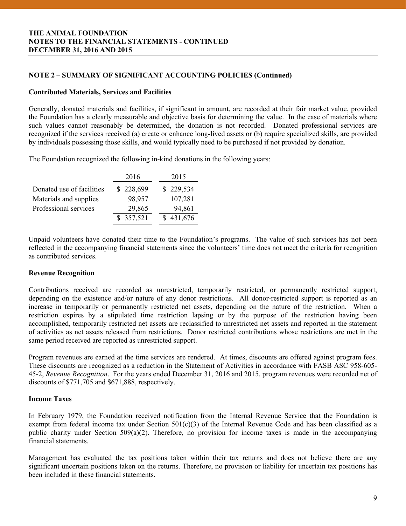# **NOTE 2 – SUMMARY OF SIGNIFICANT ACCOUNTING POLICIES (Continued)**

#### **Contributed Materials, Services and Facilities**

Generally, donated materials and facilities, if significant in amount, are recorded at their fair market value, provided the Foundation has a clearly measurable and objective basis for determining the value. In the case of materials where such values cannot reasonably be determined, the donation is not recorded. Donated professional services are recognized if the services received (a) create or enhance long-lived assets or (b) require specialized skills, are provided by individuals possessing those skills, and would typically need to be purchased if not provided by donation.

The Foundation recognized the following in-kind donations in the following years:

|                           | 2016      | 2015      |
|---------------------------|-----------|-----------|
| Donated use of facilities | \$228,699 | \$229,534 |
| Materials and supplies    | 98,957    | 107,281   |
| Professional services     | 29,865    | 94,861    |
|                           | \$357,521 | 431,676   |

Unpaid volunteers have donated their time to the Foundation's programs. The value of such services has not been reflected in the accompanying financial statements since the volunteers' time does not meet the criteria for recognition as contributed services.

#### **Revenue Recognition**

Contributions received are recorded as unrestricted, temporarily restricted, or permanently restricted support, depending on the existence and/or nature of any donor restrictions. All donor-restricted support is reported as an increase in temporarily or permanently restricted net assets, depending on the nature of the restriction. When a restriction expires by a stipulated time restriction lapsing or by the purpose of the restriction having been accomplished, temporarily restricted net assets are reclassified to unrestricted net assets and reported in the statement of activities as net assets released from restrictions. Donor restricted contributions whose restrictions are met in the same period received are reported as unrestricted support.

Program revenues are earned at the time services are rendered. At times, discounts are offered against program fees. These discounts are recognized as a reduction in the Statement of Activities in accordance with FASB ASC 958-605- 45-2, *Revenue Recognition*. For the years ended December 31, 2016 and 2015, program revenues were recorded net of discounts of \$771,705 and \$671,888, respectively.

#### **Income Taxes**

In February 1979, the Foundation received notification from the Internal Revenue Service that the Foundation is exempt from federal income tax under Section 501(c)(3) of the Internal Revenue Code and has been classified as a public charity under Section  $509(a)(2)$ . Therefore, no provision for income taxes is made in the accompanying financial statements.

Management has evaluated the tax positions taken within their tax returns and does not believe there are any significant uncertain positions taken on the returns. Therefore, no provision or liability for uncertain tax positions has been included in these financial statements.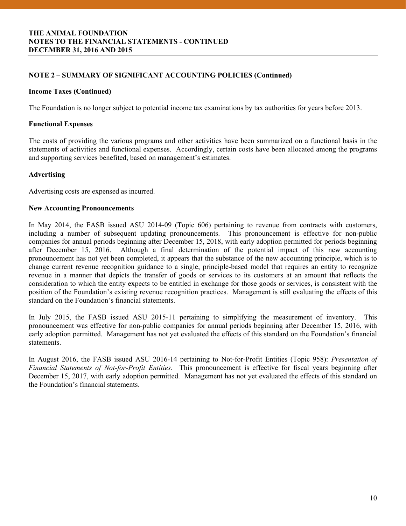# **NOTE 2 – SUMMARY OF SIGNIFICANT ACCOUNTING POLICIES (Continued)**

# **Income Taxes (Continued)**

The Foundation is no longer subject to potential income tax examinations by tax authorities for years before 2013.

### **Functional Expenses**

The costs of providing the various programs and other activities have been summarized on a functional basis in the statements of activities and functional expenses. Accordingly, certain costs have been allocated among the programs and supporting services benefited, based on management's estimates.

# **Advertising**

Advertising costs are expensed as incurred.

#### **New Accounting Pronouncements**

In May 2014, the FASB issued ASU 2014-09 (Topic 606) pertaining to revenue from contracts with customers, including a number of subsequent updating pronouncements. This pronouncement is effective for non-public companies for annual periods beginning after December 15, 2018, with early adoption permitted for periods beginning after December 15, 2016. Although a final determination of the potential impact of this new accounting pronouncement has not yet been completed, it appears that the substance of the new accounting principle, which is to change current revenue recognition guidance to a single, principle-based model that requires an entity to recognize revenue in a manner that depicts the transfer of goods or services to its customers at an amount that reflects the consideration to which the entity expects to be entitled in exchange for those goods or services, is consistent with the position of the Foundation's existing revenue recognition practices. Management is still evaluating the effects of this standard on the Foundation's financial statements.

In July 2015, the FASB issued ASU 2015-11 pertaining to simplifying the measurement of inventory. This pronouncement was effective for non-public companies for annual periods beginning after December 15, 2016, with early adoption permitted. Management has not yet evaluated the effects of this standard on the Foundation's financial statements.

In August 2016, the FASB issued ASU 2016-14 pertaining to Not-for-Profit Entities (Topic 958): *Presentation of Financial Statements of Not-for-Profit Entities*. This pronouncement is effective for fiscal years beginning after December 15, 2017, with early adoption permitted. Management has not yet evaluated the effects of this standard on the Foundation's financial statements.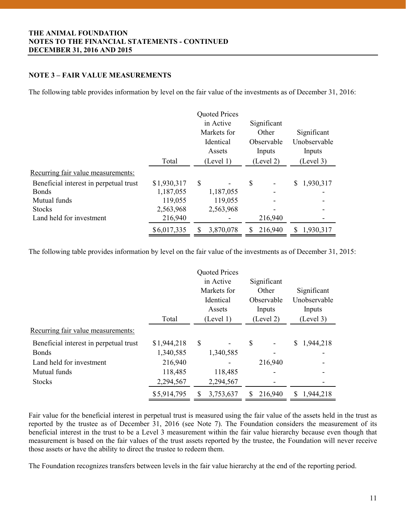# **NOTE 3 – FAIR VALUE MEASUREMENTS**

The following table provides information by level on the fair value of the investments as of December 31, 2016:

|                                        | <b>Quoted Prices</b><br>in Active<br>Markets for<br>Identical<br>Assets<br>Total<br>(Level 1) |   |           | Significant<br>Other<br>Observable<br>Inputs<br>(Level 2) |         | Significant<br>Unobservable<br>Inputs<br>(Level 3) |           |
|----------------------------------------|-----------------------------------------------------------------------------------------------|---|-----------|-----------------------------------------------------------|---------|----------------------------------------------------|-----------|
| Recurring fair value measurements:     |                                                                                               |   |           |                                                           |         |                                                    |           |
| Beneficial interest in perpetual trust | \$1,930,317                                                                                   | S |           | \$                                                        |         | \$                                                 | 1,930,317 |
| <b>Bonds</b>                           | 1,187,055                                                                                     |   | 1,187,055 |                                                           |         |                                                    |           |
| Mutual funds                           | 119,055                                                                                       |   | 119,055   |                                                           |         |                                                    |           |
| <b>Stocks</b>                          | 2,563,968                                                                                     |   | 2,563,968 |                                                           |         |                                                    |           |
| Land held for investment               | 216,940                                                                                       |   |           |                                                           | 216,940 |                                                    |           |
|                                        | \$6,017,335                                                                                   |   | 3,870,078 |                                                           | 216,940 | S                                                  | 1,930,317 |

The following table provides information by level on the fair value of the investments as of December 31, 2015:

|                                        |             |           | <b>Quoted Prices</b> |           |             |           |              |
|----------------------------------------|-------------|-----------|----------------------|-----------|-------------|-----------|--------------|
|                                        |             |           | in Active            |           | Significant |           |              |
|                                        |             |           | Markets for          |           | Other       |           | Significant  |
|                                        |             |           | Identical            |           | Observable  |           | Unobservable |
|                                        |             | Assets    |                      | Inputs    |             |           | Inputs       |
|                                        | Total       | (Level 1) |                      | (Level 2) |             | (Level 3) |              |
| Recurring fair value measurements:     |             |           |                      |           |             |           |              |
| Beneficial interest in perpetual trust | \$1,944,218 | \$        |                      | \$        |             | S         | 1,944,218    |
| <b>Bonds</b>                           | 1,340,585   |           | 1,340,585            |           |             |           |              |
| Land held for investment               | 216,940     |           |                      |           | 216,940     |           |              |
| Mutual funds                           | 118,485     |           | 118,485              |           |             |           |              |
| <b>Stocks</b>                          | 2,294,567   |           | 2,294,567            |           |             |           |              |
|                                        | \$5,914,795 |           | 3,753,637            |           | 216,940     | S         | 1,944,218    |

Fair value for the beneficial interest in perpetual trust is measured using the fair value of the assets held in the trust as reported by the trustee as of December 31, 2016 (see Note 7). The Foundation considers the measurement of its beneficial interest in the trust to be a Level 3 measurement within the fair value hierarchy because even though that measurement is based on the fair values of the trust assets reported by the trustee, the Foundation will never receive those assets or have the ability to direct the trustee to redeem them.

The Foundation recognizes transfers between levels in the fair value hierarchy at the end of the reporting period.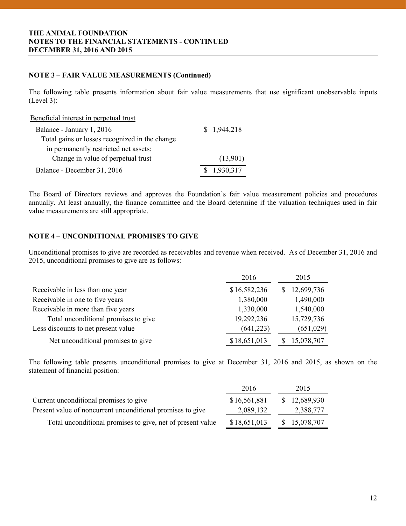# **NOTE 3 – FAIR VALUE MEASUREMENTS (Continued)**

The following table presents information about fair value measurements that use significant unobservable inputs (Level 3):

#### Beneficial interest in perpetual trust

| Balance - January 1, 2016                      | \$1,944,218 |
|------------------------------------------------|-------------|
| Total gains or losses recognized in the change |             |
| in permanently restricted net assets:          |             |
| Change in value of perpetual trust             | (13,901)    |
| Balance - December 31, 2016                    | \$1,930,317 |

The Board of Directors reviews and approves the Foundation's fair value measurement policies and procedures annually. At least annually, the finance committee and the Board determine if the valuation techniques used in fair value measurements are still appropriate.

# **NOTE 4 – UNCONDITIONAL PROMISES TO GIVE**

Unconditional promises to give are recorded as receivables and revenue when received. As of December 31, 2016 and 2015, unconditional promises to give are as follows:

|                                      | 2016         | 2015       |
|--------------------------------------|--------------|------------|
| Receivable in less than one year     | \$16,582,236 | 12,699,736 |
| Receivable in one to five years      | 1,380,000    | 1,490,000  |
| Receivable in more than five years   | 1,330,000    | 1,540,000  |
| Total unconditional promises to give | 19,292,236   | 15,729,736 |
| Less discounts to net present value  | (641, 223)   | (651,029)  |
| Net unconditional promises to give   | \$18,651,013 | 15,078,707 |

The following table presents unconditional promises to give at December 31, 2016 and 2015, as shown on the statement of financial position:

| 2016         | 2015         |
|--------------|--------------|
| \$16,561,881 | \$12,689,930 |
| 2,089,132    | 2,388,777    |
| \$18,651,013 | \$15,078,707 |
|              |              |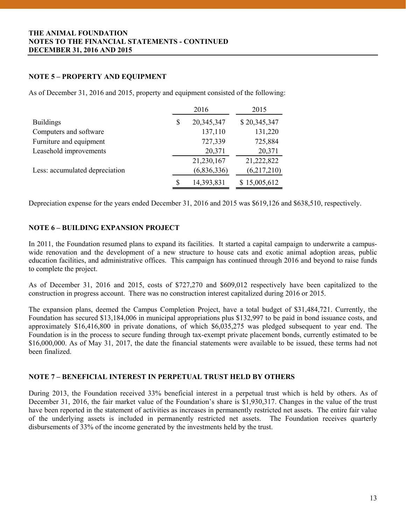# **NOTE 5 – PROPERTY AND EQUIPMENT**

As of December 31, 2016 and 2015, property and equipment consisted of the following:

|    | 2016        | 2015         |
|----|-------------|--------------|
| \$ | 20,345,347  | \$20,345,347 |
|    | 137,110     | 131,220      |
|    | 727,339     | 725,884      |
|    | 20,371      | 20,371       |
|    | 21,230,167  | 21,222,822   |
|    | (6,836,336) | (6,217,210)  |
| S  | 14,393,831  | \$15,005,612 |
|    |             |              |

Depreciation expense for the years ended December 31, 2016 and 2015 was \$619,126 and \$638,510, respectively.

#### **NOTE 6 – BUILDING EXPANSION PROJECT**

In 2011, the Foundation resumed plans to expand its facilities. It started a capital campaign to underwrite a campuswide renovation and the development of a new structure to house cats and exotic animal adoption areas, public education facilities, and administrative offices. This campaign has continued through 2016 and beyond to raise funds to complete the project.

As of December 31, 2016 and 2015, costs of \$727,270 and \$609,012 respectively have been capitalized to the construction in progress account. There was no construction interest capitalized during 2016 or 2015.

The expansion plans, deemed the Campus Completion Project, have a total budget of \$31,484,721. Currently, the Foundation has secured \$13,184,006 in municipal appropriations plus \$132,997 to be paid in bond issuance costs, and approximately \$16,416,800 in private donations, of which \$6,035,275 was pledged subsequent to year end. The Foundation is in the process to secure funding through tax-exempt private placement bonds, currently estimated to be \$16,000,000. As of May 31, 2017, the date the financial statements were available to be issued, these terms had not been finalized.

# **NOTE 7 – BENEFICIAL INTEREST IN PERPETUAL TRUST HELD BY OTHERS**

 December 31, 2016, the fair market value of the Foundation's share is \$1,930,317. Changes in the value of the trust During 2013, the Foundation received 33% beneficial interest in a perpetual trust which is held by others. As of have been reported in the statement of activities as increases in permanently restricted net assets. The entire fair value of the underlying assets is included in permanently restricted net assets. The Foundation receives quarterly disbursements of 33% of the income generated by the investments held by the trust.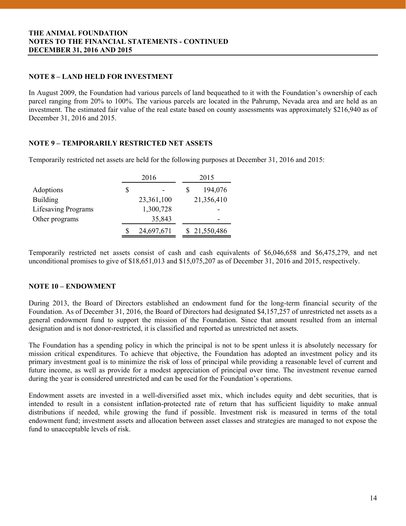# **NOTE 8 – LAND HELD FOR INVESTMENT**

In August 2009, the Foundation had various parcels of land bequeathed to it with the Foundation's ownership of each parcel ranging from 20% to 100%. The various parcels are located in the Pahrump, Nevada area and are held as an investment. The estimated fair value of the real estate based on county assessments was approximately \$216,940 as of December 31, 2016 and 2015.

# **NOTE 9 – TEMPORARILY RESTRICTED NET ASSETS**

Temporarily restricted net assets are held for the following purposes at December 31, 2016 and 2015:

|                            | 2016 |            | 2015 |                          |  |
|----------------------------|------|------------|------|--------------------------|--|
| Adoptions                  | S    |            |      | 194,076                  |  |
| <b>Building</b>            |      | 23,361,100 |      | 21,356,410               |  |
| <b>Lifesaving Programs</b> |      | 1,300,728  |      |                          |  |
| Other programs             |      | 35,843     |      | $\overline{\phantom{0}}$ |  |
|                            |      | 24,697,671 |      | \$21,550,486             |  |

Temporarily restricted net assets consist of cash and cash equivalents of \$6,046,658 and \$6,475,279, and net unconditional promises to give of \$18,651,013 and \$15,075,207 as of December 31, 2016 and 2015, respectively.

# **NOTE 10 – ENDOWMENT**

During 2013, the Board of Directors established an endowment fund for the long-term financial security of the Foundation. As of December 31, 2016, the Board of Directors had designated \$4,157,257 of unrestricted net assets as a general endowment fund to support the mission of the Foundation. Since that amount resulted from an internal designation and is not donor-restricted, it is classified and reported as unrestricted net assets.

The Foundation has a spending policy in which the principal is not to be spent unless it is absolutely necessary for mission critical expenditures. To achieve that objective, the Foundation has adopted an investment policy and its primary investment goal is to minimize the risk of loss of principal while providing a reasonable level of current and future income, as well as provide for a modest appreciation of principal over time. The investment revenue earned during the year is considered unrestricted and can be used for the Foundation's operations.

 intended to result in a consistent inflation-protected rate of return that has sufficient liquidity to make annual Endowment assets are invested in a well-diversified asset mix, which includes equity and debt securities, that is distributions if needed, while growing the fund if possible. Investment risk is measured in terms of the total endowment fund; investment assets and allocation between asset classes and strategies are managed to not expose the fund to unacceptable levels of risk.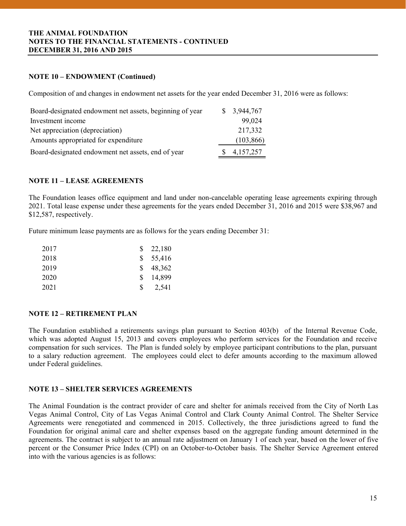# **NOTE 10 – ENDOWMENT (Continued)**

Composition of and changes in endowment net assets for the year ended December 31, 2016 were as follows:

| Board-designated endowment net assets, beginning of year | \$3,944,767 |
|----------------------------------------------------------|-------------|
| Investment income                                        | 99,024      |
| Net appreciation (depreciation)                          | 217,332     |
| Amounts appropriated for expenditure                     | (103, 866)  |
| Board-designated endowment net assets, end of year       | 4,157,257   |

# **NOTE 11 – LEASE AGREEMENTS**

The Foundation leases office equipment and land under non-cancelable operating lease agreements expiring through 2021. Total lease expense under these agreements for the years ended December 31, 2016 and 2015 were \$38,967 and \$12,587, respectively.

Future minimum lease payments are as follows for the years ending December 31:

| 2017 |     | $\frac{\$}{22,180}$ |
|------|-----|---------------------|
| 2018 |     | \$55,416            |
| 2019 | S.  | 48,362              |
| 2020 | \$. | 14,899              |
| 2021 | \$. | 2,541               |

# **NOTE 12 – RETIREMENT PLAN**

The Foundation established a retirements savings plan pursuant to Section 403(b) of the Internal Revenue Code, which was adopted August 15, 2013 and covers employees who perform services for the Foundation and receive compensation for such services. The Plan is funded solely by employee participant contributions to the plan, pursuant to a salary reduction agreement. The employees could elect to defer amounts according to the maximum allowed under Federal guidelines.

# **NOTE 13 – SHELTER SERVICES AGREEMENTS**

 The Animal Foundation is the contract provider of care and shelter for animals received from the City of North Las Vegas Animal Control, City of Las Vegas Animal Control and Clark County Animal Control. The Shelter Service Agreements were renegotiated and commenced in 2015. Collectively, the three jurisdictions agreed to fund the Foundation for original animal care and shelter expenses based on the aggregate funding amount determined in the agreements. The contract is subject to an annual rate adjustment on January 1 of each year, based on the lower of five percent or the Consumer Price Index (CPI) on an October-to-October basis. The Shelter Service Agreement entered into with the various agencies is as follows: